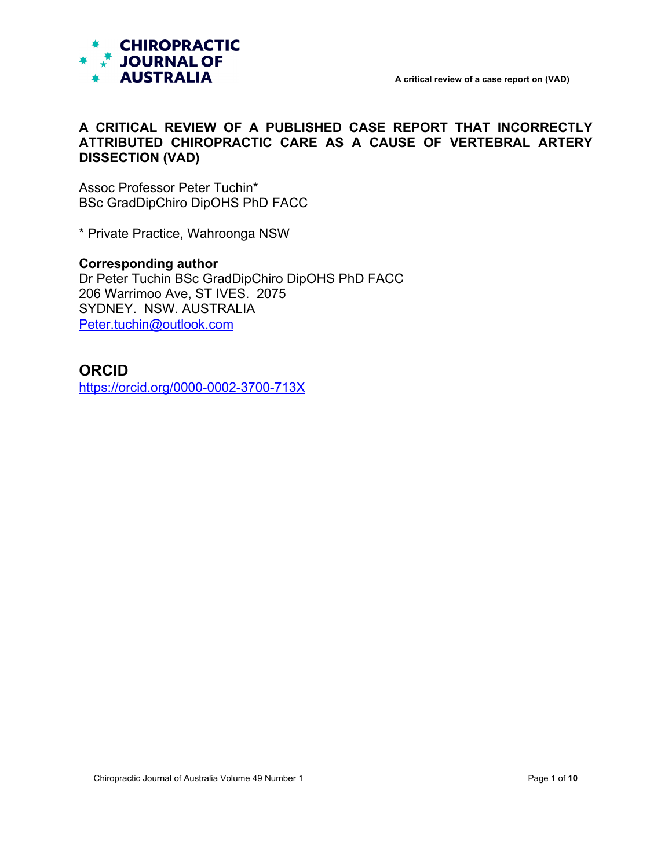

## **A CRITICAL REVIEW OF A PUBLISHED CASE REPORT THAT INCORRECTLY ATTRIBUTED CHIROPRACTIC CARE AS A CAUSE OF VERTEBRAL ARTERY DISSECTION (VAD)**

Assoc Professor Peter Tuchin\* BSc GradDipChiro DipOHS PhD FACC

\* Private Practice, Wahroonga NSW

# **Corresponding author**

Dr Peter Tuchin BSc GradDipChiro DipOHS PhD FACC 206 Warrimoo Ave, ST IVES. 2075 SYDNEY. NSW. AUSTRALIA [Peter.tuchin@outlook.com](mailto:Peter.tuchin@outlook.com)

# **ORCID**

<https://orcid.org/0000-0002-3700-713X>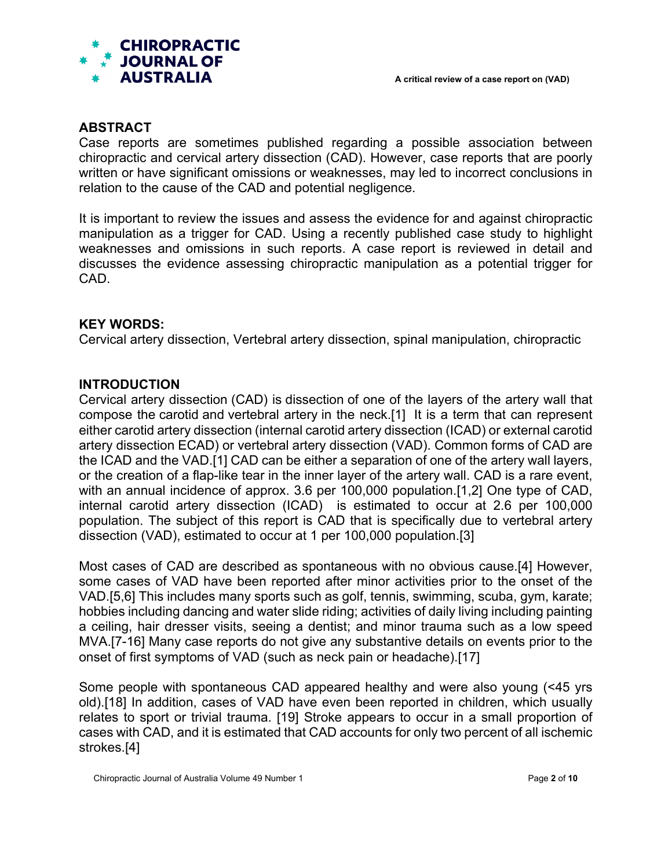

#### **ABSTRACT**

Case reports are sometimes published regarding a possible association between chiropractic and cervical artery dissection (CAD). However, case reports that are poorly written or have significant omissions or weaknesses, may led to incorrect conclusions in relation to the cause of the CAD and potential negligence.

It is important to review the issues and assess the evidence for and against chiropractic manipulation as a trigger for CAD. Using a recently published case study to highlight weaknesses and omissions in such reports. A case report is reviewed in detail and discusses the evidence assessing chiropractic manipulation as a potential trigger for CAD.

#### **KEY WORDS:**

Cervical artery dissection, Vertebral artery dissection, spinal manipulation, chiropractic

#### **INTRODUCTION**

Cervical artery dissection (CAD) is dissection of one of the layers of the artery wall that compose the carotid and vertebral artery in the neck.[1] It is a term that can represent either carotid artery dissection (internal carotid artery dissection (ICAD) or external carotid artery dissection ECAD) or vertebral artery dissection (VAD). Common forms of CAD are the ICAD and the VAD.[1] CAD can be either a separation of one of the artery wall layers, or the creation of a flap-like tear in the inner layer of the artery wall. CAD is a rare event, with an annual incidence of approx. 3.6 per 100,000 population.[1,2] One type of CAD, internal carotid artery dissection (ICAD) is estimated to occur at 2.6 per 100,000 population. The subject of this report is CAD that is specifically due to vertebral artery dissection (VAD), estimated to occur at 1 per 100,000 population.[3]

Most cases of CAD are described as spontaneous with no obvious cause.[4] However, some cases of VAD have been reported after minor activities prior to the onset of the VAD.[5,6] This includes many sports such as golf, tennis, swimming, scuba, gym, karate; hobbies including dancing and water slide riding; activities of daily living including painting a ceiling, hair dresser visits, seeing a dentist; and minor trauma such as a low speed MVA.[7-16] Many case reports do not give any substantive details on events prior to the onset of first symptoms of VAD (such as neck pain or headache).[17]

Some people with spontaneous CAD appeared healthy and were also young (<45 yrs old).[18] In addition, cases of VAD have even been reported in children, which usually relates to sport or trivial trauma. [19] Stroke appears to occur in a small proportion of cases with CAD, and it is estimated that CAD accounts for only two percent of all ischemic strokes.[4]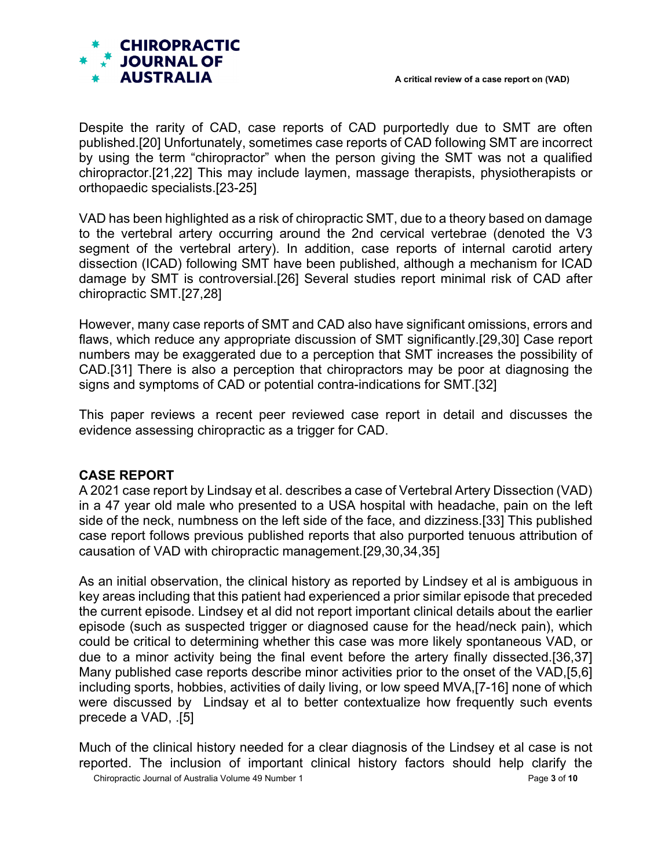

Despite the rarity of CAD, case reports of CAD purportedly due to SMT are often published.[20] Unfortunately, sometimes case reports of CAD following SMT are incorrect by using the term "chiropractor" when the person giving the SMT was not a qualified chiropractor.[21,22] This may include laymen, massage therapists, physiotherapists or orthopaedic specialists.[23-25]

VAD has been highlighted as a risk of chiropractic SMT, due to a theory based on damage to the vertebral artery occurring around the 2nd cervical vertebrae (denoted the V3 segment of the vertebral artery). In addition, case reports of internal carotid artery dissection (ICAD) following SMT have been published, although a mechanism for ICAD damage by SMT is controversial.[26] Several studies report minimal risk of CAD after chiropractic SMT.[27,28]

However, many case reports of SMT and CAD also have significant omissions, errors and flaws, which reduce any appropriate discussion of SMT significantly.[29,30] Case report numbers may be exaggerated due to a perception that SMT increases the possibility of CAD.[31] There is also a perception that chiropractors may be poor at diagnosing the signs and symptoms of CAD or potential contra-indications for SMT.[32]

This paper reviews a recent peer reviewed case report in detail and discusses the evidence assessing chiropractic as a trigger for CAD.

## **CASE REPORT**

A 2021 case report by Lindsay et al. describes a case of Vertebral Artery Dissection (VAD) in a 47 year old male who presented to a USA hospital with headache, pain on the left side of the neck, numbness on the left side of the face, and dizziness.[33] This published case report follows previous published reports that also purported tenuous attribution of causation of VAD with chiropractic management.[29,30,34,35]

As an initial observation, the clinical history as reported by Lindsey et al is ambiguous in key areas including that this patient had experienced a prior similar episode that preceded the current episode. Lindsey et al did not report important clinical details about the earlier episode (such as suspected trigger or diagnosed cause for the head/neck pain), which could be critical to determining whether this case was more likely spontaneous VAD, or due to a minor activity being the final event before the artery finally dissected.[36,37] Many published case reports describe minor activities prior to the onset of the VAD,[5,6] including sports, hobbies, activities of daily living, or low speed MVA,[7-16] none of which were discussed by Lindsay et al to better contextualize how frequently such events precede a VAD, .[5]

Chiropractic Journal of Australia Volume 49 Number 1 Page **3** of **10** Much of the clinical history needed for a clear diagnosis of the Lindsey et al case is not reported. The inclusion of important clinical history factors should help clarify the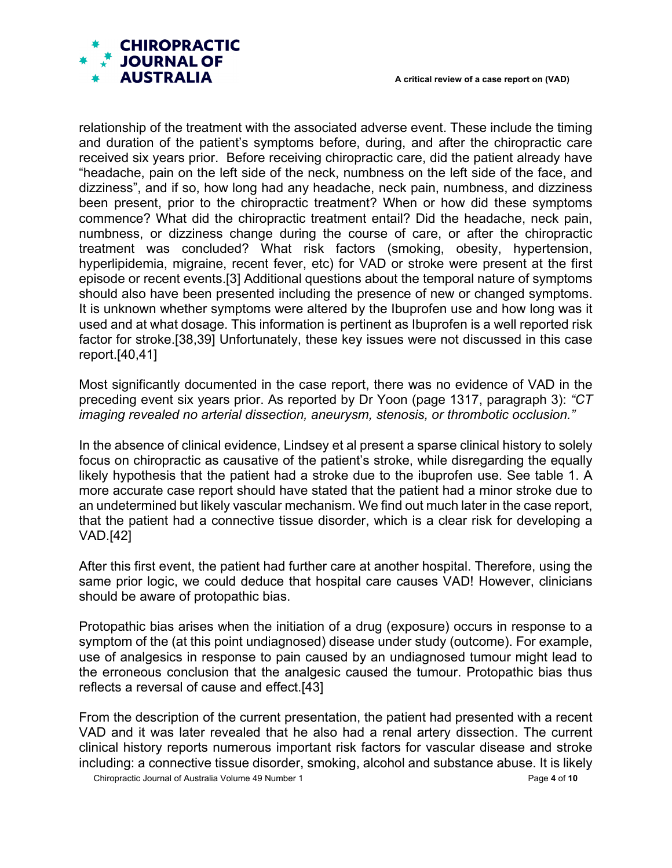

relationship of the treatment with the associated adverse event. These include the timing and duration of the patient's symptoms before, during, and after the chiropractic care received six years prior. Before receiving chiropractic care, did the patient already have "headache, pain on the left side of the neck, numbness on the left side of the face, and dizziness", and if so, how long had any headache, neck pain, numbness, and dizziness been present, prior to the chiropractic treatment? When or how did these symptoms commence? What did the chiropractic treatment entail? Did the headache, neck pain, numbness, or dizziness change during the course of care, or after the chiropractic treatment was concluded? What risk factors (smoking, obesity, hypertension, hyperlipidemia, migraine, recent fever, etc) for VAD or stroke were present at the first episode or recent events.[3] Additional questions about the temporal nature of symptoms should also have been presented including the presence of new or changed symptoms. It is unknown whether symptoms were altered by the Ibuprofen use and how long was it used and at what dosage. This information is pertinent as Ibuprofen is a well reported risk factor for stroke.[38,39] Unfortunately, these key issues were not discussed in this case report.[40,41]

Most significantly documented in the case report, there was no evidence of VAD in the preceding event six years prior. As reported by Dr Yoon (page 1317, paragraph 3): *"CT imaging revealed no arterial dissection, aneurysm, stenosis, or thrombotic occlusion."*

In the absence of clinical evidence, Lindsey et al present a sparse clinical history to solely focus on chiropractic as causative of the patient's stroke, while disregarding the equally likely hypothesis that the patient had a stroke due to the ibuprofen use. See table 1. A more accurate case report should have stated that the patient had a minor stroke due to an undetermined but likely vascular mechanism. We find out much later in the case report, that the patient had a connective tissue disorder, which is a clear risk for developing a VAD.[42]

After this first event, the patient had further care at another hospital. Therefore, using the same prior logic, we could deduce that hospital care causes VAD! However, clinicians should be aware of protopathic bias.

Protopathic bias arises when the initiation of a drug (exposure) occurs in response to a symptom of the (at this point undiagnosed) disease under study (outcome). For example, use of analgesics in response to pain caused by an undiagnosed tumour might lead to the erroneous conclusion that the analgesic caused the tumour. Protopathic bias thus reflects a reversal of cause and effect.[43]

From the description of the current presentation, the patient had presented with a recent VAD and it was later revealed that he also had a renal artery dissection. The current clinical history reports numerous important risk factors for vascular disease and stroke including: a connective tissue disorder, smoking, alcohol and substance abuse. It is likely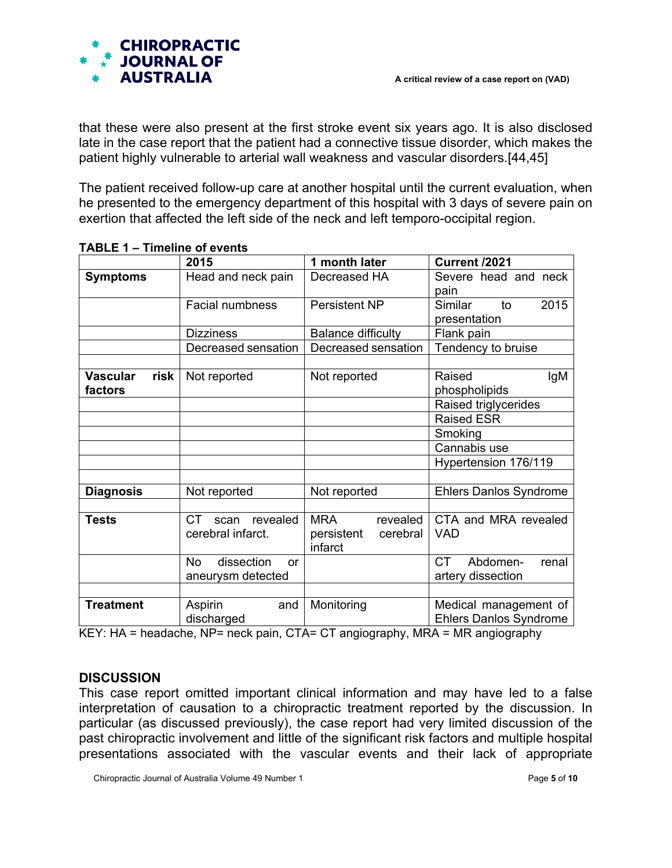

that these were also present at the first stroke event six years ago. It is also disclosed late in the case report that the patient had a connective tissue disorder, which makes the patient highly vulnerable to arterial wall weakness and vascular disorders.[44,45]

The patient received follow-up care at another hospital until the current evaluation, when he presented to the emergency department of this hospital with 3 days of severe pain on exertion that affected the left side of the neck and left temporo-occipital region.

|                                    | 2015                                               | 1 month later                                               | Current /2021                                          |
|------------------------------------|----------------------------------------------------|-------------------------------------------------------------|--------------------------------------------------------|
| <b>Symptoms</b>                    | Head and neck pain                                 | Decreased HA                                                | Severe head and neck<br>pain                           |
|                                    | Facial numbness                                    | Persistent NP                                               | Similar<br>2015<br>to<br>presentation                  |
|                                    | <b>Dizziness</b>                                   | <b>Balance difficulty</b>                                   | Flank pain                                             |
|                                    | Decreased sensation                                | Decreased sensation                                         | Tendency to bruise                                     |
|                                    |                                                    |                                                             |                                                        |
| <b>Vascular</b><br>risk<br>factors | Not reported                                       | Not reported                                                | lgM<br>Raised<br>phospholipids                         |
|                                    |                                                    |                                                             | Raised triglycerides                                   |
|                                    |                                                    |                                                             | <b>Raised ESR</b>                                      |
|                                    |                                                    |                                                             | Smoking                                                |
|                                    |                                                    |                                                             | Cannabis use                                           |
|                                    |                                                    |                                                             | Hypertension 176/119                                   |
|                                    |                                                    |                                                             |                                                        |
| <b>Diagnosis</b>                   | Not reported                                       | Not reported                                                | <b>Ehlers Danlos Syndrome</b>                          |
|                                    |                                                    |                                                             |                                                        |
| <b>Tests</b>                       | CT.<br>scan revealed<br>cerebral infarct.          | <b>MRA</b><br>revealed<br>persistent<br>cerebral<br>infarct | CTA and MRA revealed<br><b>VAD</b>                     |
|                                    | dissection<br><b>No</b><br>or<br>aneurysm detected |                                                             | <b>CT</b><br>Abdomen-<br>renal<br>artery dissection    |
|                                    |                                                    |                                                             |                                                        |
| <b>Treatment</b>                   | Aspirin<br>and<br>discharged                       | Monitoring                                                  | Medical management of<br><b>Ehlers Danlos Syndrome</b> |

KEY: HA = headache, NP= neck pain, CTA= CT angiography, MRA = MR angiography

## **DISCUSSION**

This case report omitted important clinical information and may have led to a false interpretation of causation to a chiropractic treatment reported by the discussion. In particular (as discussed previously), the case report had very limited discussion of the past chiropractic involvement and little of the significant risk factors and multiple hospital presentations associated with the vascular events and their lack of appropriate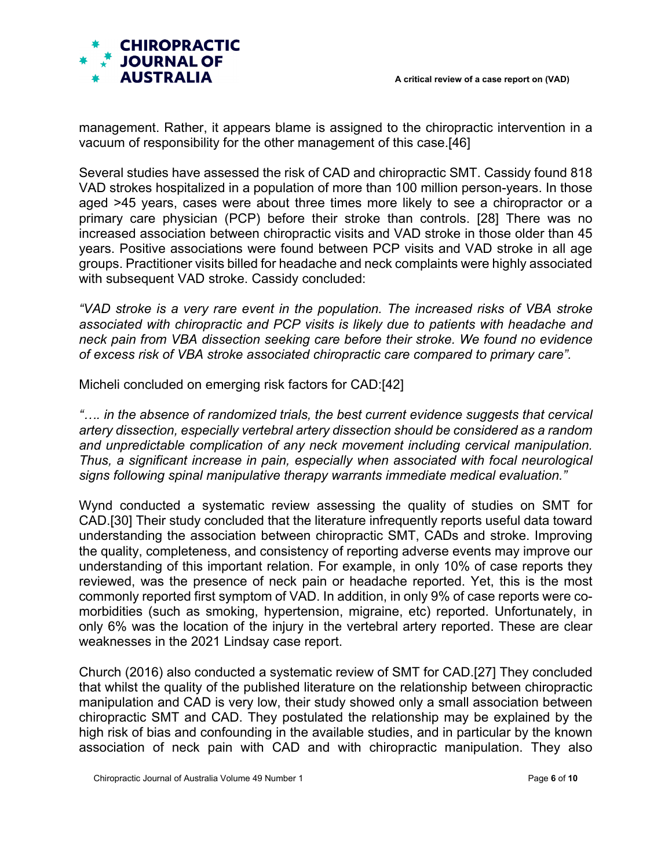

management. Rather, it appears blame is assigned to the chiropractic intervention in a vacuum of responsibility for the other management of this case.[46]

Several studies have assessed the risk of CAD and chiropractic SMT. Cassidy found 818 VAD strokes hospitalized in a population of more than 100 million person-years. In those aged >45 years, cases were about three times more likely to see a chiropractor or a primary care physician (PCP) before their stroke than controls. [28] There was no increased association between chiropractic visits and VAD stroke in those older than 45 years. Positive associations were found between PCP visits and VAD stroke in all age groups. Practitioner visits billed for headache and neck complaints were highly associated with subsequent VAD stroke. Cassidy concluded:

*"VAD stroke is a very rare event in the population. The increased risks of VBA stroke associated with chiropractic and PCP visits is likely due to patients with headache and neck pain from VBA dissection seeking care before their stroke. We found no evidence of excess risk of VBA stroke associated chiropractic care compared to primary care".*

Micheli concluded on emerging risk factors for CAD:[42]

*"…. in the absence of randomized trials, the best current evidence suggests that cervical artery dissection, especially vertebral artery dissection should be considered as a random and unpredictable complication of any neck movement including cervical manipulation. Thus, a significant increase in pain, especially when associated with focal neurological signs following spinal manipulative therapy warrants immediate medical evaluation."* 

Wynd conducted a systematic review assessing the quality of studies on SMT for CAD.[30] Their study concluded that the literature infrequently reports useful data toward understanding the association between chiropractic SMT, CADs and stroke. Improving the quality, completeness, and consistency of reporting adverse events may improve our understanding of this important relation. For example, in only 10% of case reports they reviewed, was the presence of neck pain or headache reported. Yet, this is the most commonly reported first symptom of VAD. In addition, in only 9% of case reports were comorbidities (such as smoking, hypertension, migraine, etc) reported. Unfortunately, in only 6% was the location of the injury in the vertebral artery reported. These are clear weaknesses in the 2021 Lindsay case report.

Church (2016) also conducted a systematic review of SMT for CAD.[27] They concluded that whilst the quality of the published literature on the relationship between chiropractic manipulation and CAD is very low, their study showed only a small association between chiropractic SMT and CAD. They postulated the relationship may be explained by the high risk of bias and confounding in the available studies, and in particular by the known association of neck pain with CAD and with chiropractic manipulation. They also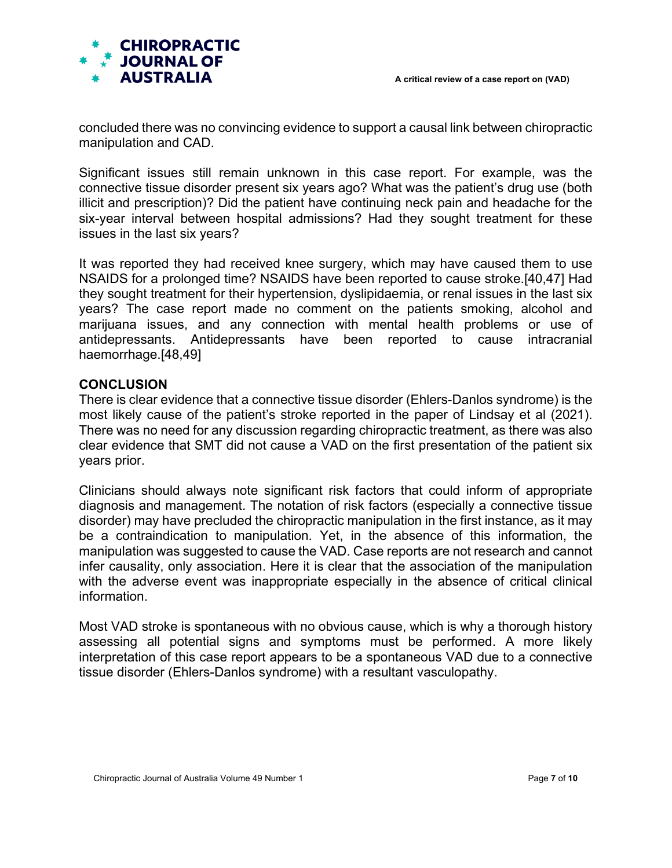

concluded there was no convincing evidence to support a causal link between chiropractic manipulation and CAD.

Significant issues still remain unknown in this case report. For example, was the connective tissue disorder present six years ago? What was the patient's drug use (both illicit and prescription)? Did the patient have continuing neck pain and headache for the six-year interval between hospital admissions? Had they sought treatment for these issues in the last six years?

It was reported they had received knee surgery, which may have caused them to use NSAIDS for a prolonged time? NSAIDS have been reported to cause stroke.[40,47] Had they sought treatment for their hypertension, dyslipidaemia, or renal issues in the last six years? The case report made no comment on the patients smoking, alcohol and marijuana issues, and any connection with mental health problems or use of antidepressants. Antidepressants have been reported to cause intracranial haemorrhage.[48,49]

#### **CONCLUSION**

There is clear evidence that a connective tissue disorder (Ehlers-Danlos syndrome) is the most likely cause of the patient's stroke reported in the paper of Lindsay et al (2021). There was no need for any discussion regarding chiropractic treatment, as there was also clear evidence that SMT did not cause a VAD on the first presentation of the patient six years prior.

Clinicians should always note significant risk factors that could inform of appropriate diagnosis and management. The notation of risk factors (especially a connective tissue disorder) may have precluded the chiropractic manipulation in the first instance, as it may be a contraindication to manipulation. Yet, in the absence of this information, the manipulation was suggested to cause the VAD. Case reports are not research and cannot infer causality, only association. Here it is clear that the association of the manipulation with the adverse event was inappropriate especially in the absence of critical clinical information.

Most VAD stroke is spontaneous with no obvious cause, which is why a thorough history assessing all potential signs and symptoms must be performed. A more likely interpretation of this case report appears to be a spontaneous VAD due to a connective tissue disorder (Ehlers-Danlos syndrome) with a resultant vasculopathy.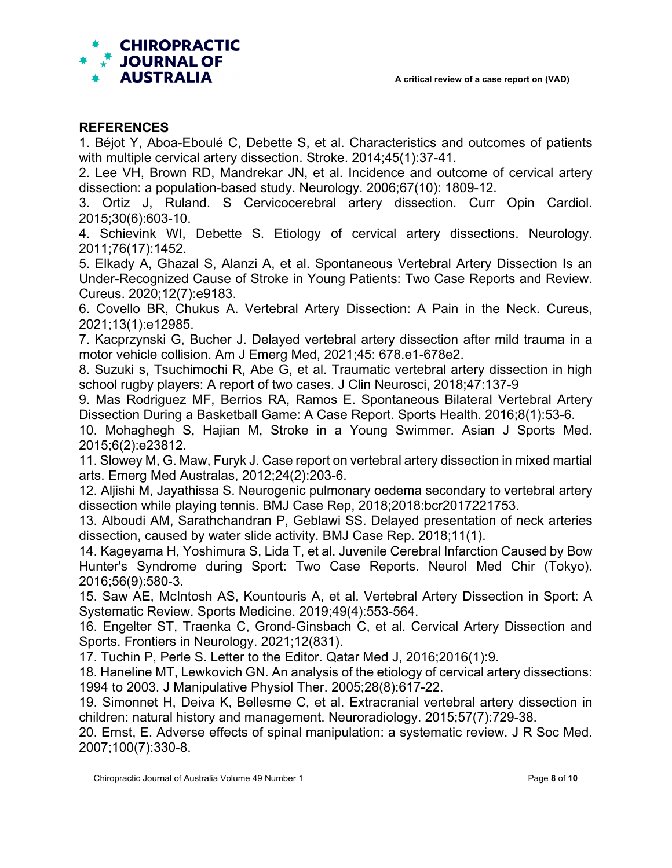

#### **REFERENCES**

1. Béjot Y, Aboa-Eboulé C, Debette S, et al. Characteristics and outcomes of patients with multiple cervical artery dissection. Stroke. 2014;45(1):37-41.

2. Lee VH, Brown RD, Mandrekar JN, et al. Incidence and outcome of cervical artery dissection: a population-based study. Neurology. 2006;67(10): 1809-12.

3. Ortiz J, Ruland. S Cervicocerebral artery dissection. Curr Opin Cardiol. 2015;30(6):603-10.

4. Schievink WI, Debette S. Etiology of cervical artery dissections. Neurology. 2011;76(17):1452.

5. Elkady A, Ghazal S, Alanzi A, et al. Spontaneous Vertebral Artery Dissection Is an Under-Recognized Cause of Stroke in Young Patients: Two Case Reports and Review. Cureus. 2020;12(7):e9183.

6. Covello BR, Chukus A. Vertebral Artery Dissection: A Pain in the Neck. Cureus, 2021;13(1):e12985.

7. Kacprzynski G, Bucher J. Delayed vertebral artery dissection after mild trauma in a motor vehicle collision. Am J Emerg Med, 2021;45: 678.e1-678e2.

8. Suzuki s, Tsuchimochi R, Abe G, et al. Traumatic vertebral artery dissection in high school rugby players: A report of two cases. J Clin Neurosci, 2018;47:137-9

9. Mas Rodriguez MF, Berrios RA, Ramos E. Spontaneous Bilateral Vertebral Artery Dissection During a Basketball Game: A Case Report. Sports Health. 2016;8(1):53-6.

10. Mohaghegh S, Hajian M, Stroke in a Young Swimmer. Asian J Sports Med. 2015;6(2):e23812.

11. Slowey M, G. Maw, Furyk J. Case report on vertebral artery dissection in mixed martial arts. Emerg Med Australas, 2012;24(2):203-6.

12. Aljishi M, Jayathissa S. Neurogenic pulmonary oedema secondary to vertebral artery dissection while playing tennis. BMJ Case Rep, 2018;2018:bcr2017221753.

13. Alboudi AM, Sarathchandran P, Geblawi SS. Delayed presentation of neck arteries dissection, caused by water slide activity. BMJ Case Rep. 2018;11(1).

14. Kageyama H, Yoshimura S, Lida T, et al. Juvenile Cerebral Infarction Caused by Bow Hunter's Syndrome during Sport: Two Case Reports. Neurol Med Chir (Tokyo). 2016;56(9):580-3.

15. Saw AE, McIntosh AS, Kountouris A, et al. Vertebral Artery Dissection in Sport: A Systematic Review. Sports Medicine. 2019;49(4):553-564.

16. Engelter ST, Traenka C, Grond-Ginsbach C, et al. Cervical Artery Dissection and Sports. Frontiers in Neurology. 2021;12(831).

17. Tuchin P, Perle S. Letter to the Editor. Qatar Med J, 2016;2016(1):9.

18. Haneline MT, Lewkovich GN. An analysis of the etiology of cervical artery dissections: 1994 to 2003. J Manipulative Physiol Ther. 2005;28(8):617-22.

19. Simonnet H, Deiva K, Bellesme C, et al. Extracranial vertebral artery dissection in children: natural history and management. Neuroradiology. 2015;57(7):729-38.

20. Ernst, E. Adverse effects of spinal manipulation: a systematic review. J R Soc Med. 2007;100(7):330-8.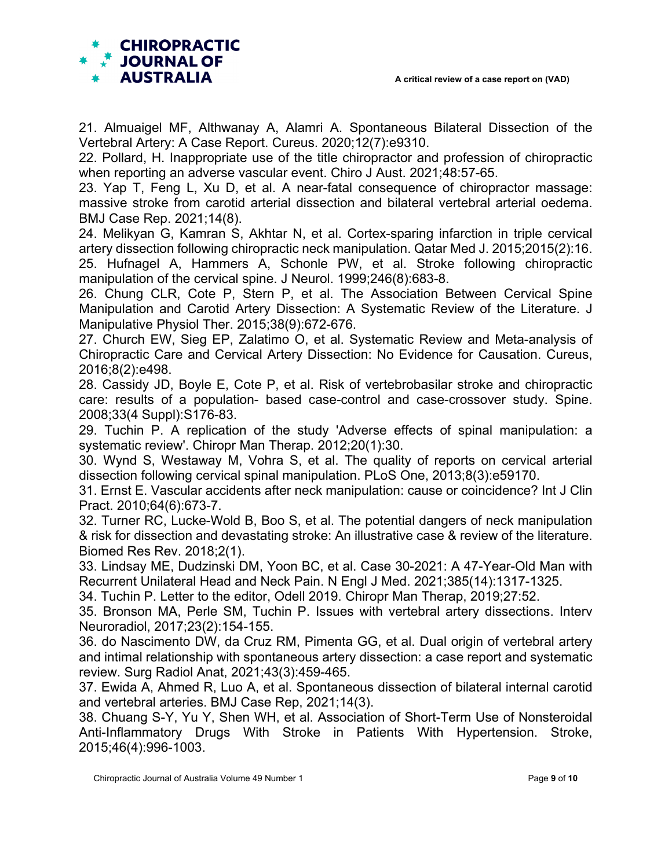

21. Almuaigel MF, Althwanay A, Alamri A. Spontaneous Bilateral Dissection of the Vertebral Artery: A Case Report. Cureus. 2020;12(7):e9310.

22. Pollard, H. Inappropriate use of the title chiropractor and profession of chiropractic when reporting an adverse vascular event. Chiro J Aust. 2021;48:57-65.

23. Yap T, Feng L, Xu D, et al. A near-fatal consequence of chiropractor massage: massive stroke from carotid arterial dissection and bilateral vertebral arterial oedema. BMJ Case Rep. 2021;14(8).

24. Melikyan G, Kamran S, Akhtar N, et al. Cortex-sparing infarction in triple cervical artery dissection following chiropractic neck manipulation. Qatar Med J. 2015;2015(2):16. 25. Hufnagel A, Hammers A, Schonle PW, et al. Stroke following chiropractic manipulation of the cervical spine. J Neurol. 1999;246(8):683-8.

26. Chung CLR, Cote P, Stern P, et al. The Association Between Cervical Spine Manipulation and Carotid Artery Dissection: A Systematic Review of the Literature. J Manipulative Physiol Ther. 2015;38(9):672-676.

27. Church EW, Sieg EP, Zalatimo O, et al. Systematic Review and Meta-analysis of Chiropractic Care and Cervical Artery Dissection: No Evidence for Causation. Cureus, 2016;8(2):e498.

28. Cassidy JD, Boyle E, Cote P, et al. Risk of vertebrobasilar stroke and chiropractic care: results of a population- based case-control and case-crossover study. Spine. 2008;33(4 Suppl):S176-83.

29. Tuchin P. A replication of the study 'Adverse effects of spinal manipulation: a systematic review'. Chiropr Man Therap. 2012;20(1):30.

30. Wynd S, Westaway M, Vohra S, et al. The quality of reports on cervical arterial dissection following cervical spinal manipulation. PLoS One, 2013;8(3):e59170.

31. Ernst E. Vascular accidents after neck manipulation: cause or coincidence? Int J Clin Pract. 2010;64(6):673-7.

32. Turner RC, Lucke-Wold B, Boo S, et al. The potential dangers of neck manipulation & risk for dissection and devastating stroke: An illustrative case & review of the literature. Biomed Res Rev. 2018;2(1).

33. Lindsay ME, Dudzinski DM, Yoon BC, et al. Case 30-2021: A 47-Year-Old Man with Recurrent Unilateral Head and Neck Pain. N Engl J Med. 2021;385(14):1317-1325.

34. Tuchin P. Letter to the editor, Odell 2019. Chiropr Man Therap, 2019;27:52.

35. Bronson MA, Perle SM, Tuchin P. Issues with vertebral artery dissections. Interv Neuroradiol, 2017;23(2):154-155.

36. do Nascimento DW, da Cruz RM, Pimenta GG, et al. Dual origin of vertebral artery and intimal relationship with spontaneous artery dissection: a case report and systematic review. Surg Radiol Anat, 2021;43(3):459-465.

37. Ewida A, Ahmed R, Luo A, et al. Spontaneous dissection of bilateral internal carotid and vertebral arteries. BMJ Case Rep, 2021;14(3).

38. Chuang S-Y, Yu Y, Shen WH, et al. Association of Short-Term Use of Nonsteroidal Anti-Inflammatory Drugs With Stroke in Patients With Hypertension. Stroke, 2015;46(4):996-1003.